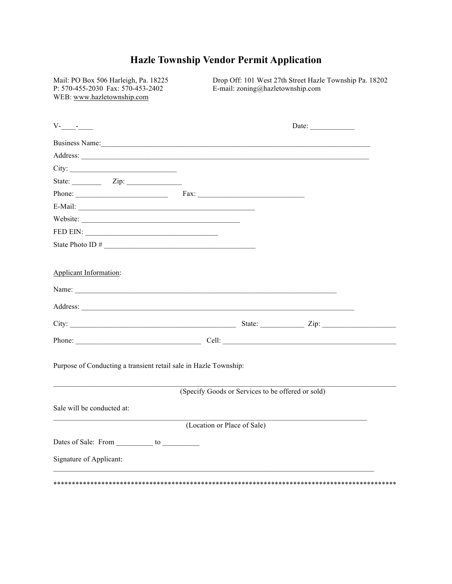## **Hazle Township Vendor Permit Application**

Mail: PO Box 506 Harleigh, Pa. 18225 P: 570-455-2030 Fax: 570-453-2402 WEB: www.hazletownship.com

Drop Off: 101 West 27th Street Hazle Township Pa. 18202 E-mail: zoning@hazletownship.com

| $V$ - $\qquad$ - $\qquad$ - $\qquad$                                                                                                                                                                                                |                                                   | Date: $\qquad \qquad$ |  |
|-------------------------------------------------------------------------------------------------------------------------------------------------------------------------------------------------------------------------------------|---------------------------------------------------|-----------------------|--|
| Business Name:                                                                                                                                                                                                                      |                                                   |                       |  |
| Address: <u>New York: Address:</u> New York: New York: New York: New York: New York: New York: New York: New York: New York: New York: New York: New York: New York: New York: New York: New York: New York: New York: New York: Ne |                                                   |                       |  |
| City:                                                                                                                                                                                                                               |                                                   |                       |  |
| State: $\qquad \qquad \text{Zip:}$                                                                                                                                                                                                  |                                                   |                       |  |
| Phone: Fax: Fax:                                                                                                                                                                                                                    |                                                   |                       |  |
|                                                                                                                                                                                                                                     |                                                   |                       |  |
| Website:                                                                                                                                                                                                                            |                                                   |                       |  |
|                                                                                                                                                                                                                                     |                                                   |                       |  |
|                                                                                                                                                                                                                                     |                                                   |                       |  |
|                                                                                                                                                                                                                                     |                                                   |                       |  |
| Applicant Information:                                                                                                                                                                                                              |                                                   |                       |  |
|                                                                                                                                                                                                                                     |                                                   |                       |  |
| Name: $\Box$                                                                                                                                                                                                                        |                                                   |                       |  |
|                                                                                                                                                                                                                                     |                                                   |                       |  |
| City: <u>City:</u> Zip: 2ip:                                                                                                                                                                                                        |                                                   |                       |  |
|                                                                                                                                                                                                                                     |                                                   |                       |  |
| Purpose of Conducting a transient retail sale in Hazle Township:                                                                                                                                                                    | (Specify Goods or Services to be offered or sold) |                       |  |
|                                                                                                                                                                                                                                     |                                                   |                       |  |
| Sale will be conducted at:                                                                                                                                                                                                          |                                                   |                       |  |
|                                                                                                                                                                                                                                     | (Location or Place of Sale)                       |                       |  |
| Dates of Sale: From ___________ to ____________                                                                                                                                                                                     |                                                   |                       |  |
| Signature of Applicant:                                                                                                                                                                                                             |                                                   |                       |  |
|                                                                                                                                                                                                                                     |                                                   |                       |  |